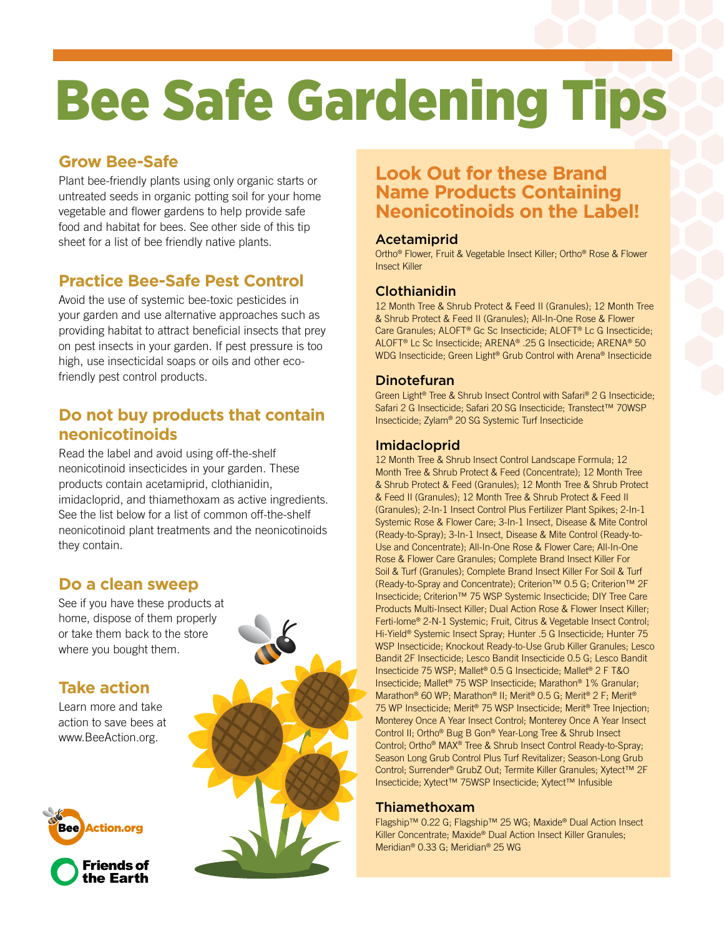# Bee Safe Gardening Tips

### **Grow Bee-Safe**

Plant bee-friendly plants using only organic starts or untreated seeds in organic potting soil for your home vegetable and flower gardens to help provide safe food and habitat for bees. See other side of this tip sheet for a list of bee friendly native plants.

# **Practice Bee-Safe Pest Control**

Avoid the use of systemic bee-toxic pesticides in your garden and use alternative approaches such as providing habitat to attract beneficial insects that prey on pest insects in your garden. If pest pressure is too high, use insecticidal soaps or oils and other ecofriendly pest control products.

## **Do not buy products that contain neonicotinoids**

Read the label and avoid using off-the-shelf neonicotinoid insecticides in your garden. These products contain acetamiprid, clothianidin, imidacloprid, and thiamethoxam as active ingredients. See the list below for a list of common off-the-shelf neonicotinoid plant treatments and the neonicotinoids they contain.

# **Do a clean sweep**

See if you have these products at home, dispose of them properly or take them back to the store where you bought them.

## **Take action**

Learn more and take action to save bees at www.BeeAction.org.





# **Look Out for these Brand Name Products Containing Neonicotinoids on the Label!**

#### Acetamiprid

Ortho® Flower, Fruit & Vegetable Insect Killer; Ortho® Rose & Flower Insect Killer

#### Clothianidin

12 Month Tree & Shrub Protect & Feed II (Granules); 12 Month Tree & Shrub Protect & Feed II (Granules); All-In-One Rose & Flower Care Granules; ALOFT® Gc Sc Insecticide; ALOFT® Lc G Insecticide; ALOFT® Lc Sc Insecticide; ARENA® .25 G Insecticide; ARENA® 50 WDG Insecticide; Green Light® Grub Control with Arena® Insecticide

#### Dinotefuran

Green Light® Tree & Shrub Insect Control with Safari® 2 G Insecticide; Safari 2 G Insecticide; Safari 20 SG Insecticide; Transtect™ 70WSP Insecticide; Zylam® 20 SG Systemic Turf Insecticide

#### Imidacloprid

12 Month Tree & Shrub Insect Control Landscape Formula; 12 Month Tree & Shrub Protect & Feed (Concentrate); 12 Month Tree & Shrub Protect & Feed (Granules); 12 Month Tree & Shrub Protect & Feed II (Granules); 12 Month Tree & Shrub Protect & Feed II (Granules); 2-In-1 Insect Control Plus Fertilizer Plant Spikes; 2-In-1 Systemic Rose & Flower Care; 3-In-1 Insect, Disease & Mite Control (Ready-to-Spray); 3-In-1 Insect, Disease & Mite Control (Ready-to-Use and Concentrate); All-In-One Rose & Flower Care; All-In-One Rose & Flower Care Granules; Complete Brand Insect Killer For Soil & Turf (Granules); Complete Brand Insect Killer For Soil & Turf (Ready-to-Spray and Concentrate); Criterion™ 0.5 G; Criterion™ 2F Insecticide; Criterion™ 75 WSP Systemic Insecticide; DIY Tree Care Products Multi-Insect Killer; Dual Action Rose & Flower Insect Killer; Ferti-lome® 2-N-1 Systemic; Fruit, Citrus & Vegetable Insect Control; Hi-Yield® Systemic Insect Spray; Hunter .5 G Insecticide; Hunter 75 WSP Insecticide; Knockout Ready-to-Use Grub Killer Granules; Lesco Bandit 2F Insecticide; Lesco Bandit Insecticide 0.5 G; Lesco Bandit Insecticide 75 WSP; Mallet® 0.5 G Insecticide; Mallet® 2 F T&O Insecticide; Mallet® 75 WSP Insecticide; Marathon® 1% Granular; Marathon® 60 WP; Marathon® II; Merit® 0.5 G; Merit® 2 F; Merit® 75 WP Insecticide; Merit® 75 WSP Insecticide; Merit® Tree Injection; Monterey Once A Year Insect Control; Monterey Once A Year Insect Control II; Ortho® Bug B Gon® Year-Long Tree & Shrub Insect Control; Ortho® MAX® Tree & Shrub Insect Control Ready-to-Spray; Season Long Grub Control Plus Turf Revitalizer; Season-Long Grub Control; Surrender® GrubZ Out; Termite Killer Granules; Xytect™ 2F Insecticide; Xytect™ 75WSP Insecticide; Xytect™ Infusible

#### Thiamethoxam

Flagship™ 0.22 G; Flagship™ 25 WG; Maxide® Dual Action Insect Killer Concentrate; Maxide® Dual Action Insect Killer Granules; Meridian® 0.33 G; Meridian® 25 WG